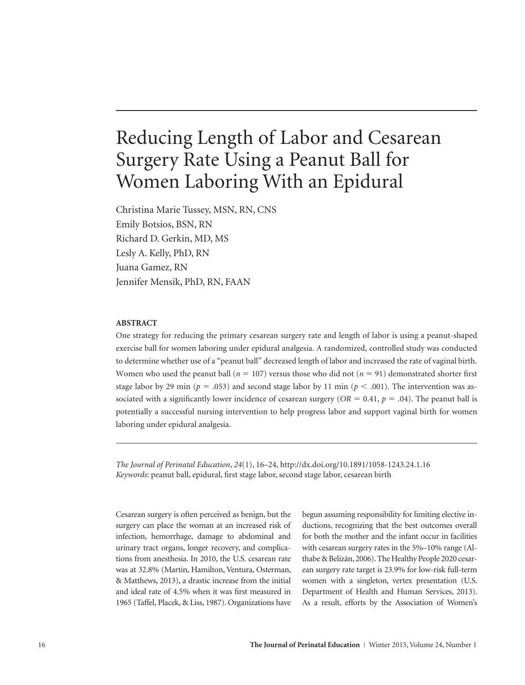# Reducing Length of Labor and Cesarean Surgery Rate Using a Peanut Ball for Women Laboring With an Epidural

Christina Marie Tussey, MSN, RN, CNS Emily Botsios, BSN, RN Richard D. Gerkin, MD, MS Lesly A. Kelly, PhD, RN Juana Gamez, RN Jennifer Mensik, PhD, RN, FAAN

## **ABSTRACT**

One strategy for reducing the primary cesarean surgery rate and length of labor is using a peanut-shaped exercise ball for women laboring under epidural analgesia. A randomized, controlled study was conducted to determine whether use of a "peanut ball" decreased length of labor and increased the rate of vaginal birth. Women who used the peanut ball ( $n = 107$ ) versus those who did not ( $n = 91$ ) demonstrated shorter first stage labor by 29 min ( $p = .053$ ) and second stage labor by 11 min ( $p < .001$ ). The intervention was associated with a significantly lower incidence of cesarean surgery ( $OR = 0.41$ ,  $p = .04$ ). The peanut ball is potentially a successful nursing intervention to help progress labor and support vaginal birth for women laboring under epidural analgesia.

*The Journal of Perinatal Education*, *24*(1), 16–24,<http://dx.doi.org/10.1891/1058-1243.24.1.16> *Keywords*: peanut ball, epidural, first stage labor, second stage labor, cesarean birth

Cesarean surgery is often perceived as benign, but the surgery can place the woman at an increased risk of infection, hemorrhage, damage to abdominal and urinary tract organs, longer recovery, and complications from anesthesia. In 2010, the U.S. cesarean rate was at 32.8% (Martin, Hamilton, Ventura, Osterman, & Matthews, 2013), a drastic increase from the initial and ideal rate of 4.5% when it was first measured in 1965 (Taffel, Placek, & Liss, 1987). Organizations have begun assuming responsibility for limiting elective inductions, recognizing that the best outcomes overall for both the mother and the infant occur in facilities with cesarean surgery rates in the 5%–10% range (Althabe & Belizán, 2006). The Healthy People 2020 cesarean surgery rate target is 23.9% for low-risk full-term women with a singleton, vertex presentation (U.S. Department of Health and Human Services, 2013). As a result, efforts by the Association of Women's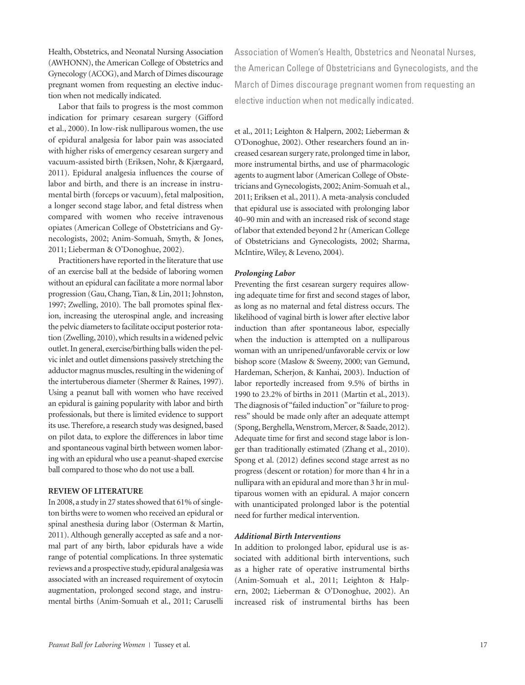Health, Obstetrics, and Neonatal Nursing Association (AWHONN), the American College of Obstetrics and Gynecology (ACOG), and March of Dimes discourage pregnant women from requesting an elective induction when not medically indicated.

Labor that fails to progress is the most common indication for primary cesarean surgery (Gifford et al., 2000). In low-risk nulliparous women, the use of epidural analgesia for labor pain was associated with higher risks of emergency cesarean surgery and vacuum-assisted birth (Eriksen, Nohr, & Kjærgaard, 2011). Epidural analgesia influences the course of labor and birth, and there is an increase in instrumental birth (forceps or vacuum), fetal malposition, a longer second stage labor, and fetal distress when compared with women who receive intravenous opiates (American College of Obstetricians and Gynecologists, 2002; Anim-Somuah, Smyth, & Jones, 2011; Lieberman & O'Donoghue, 2002).

Practitioners have reported in the literature that use of an exercise ball at the bedside of laboring women without an epidural can facilitate a more normal labor progression (Gau, Chang, Tian, & Lin, 2011; Johnston, 1997; Zwelling, 2010). The ball promotes spinal flexion, increasing the uterospinal angle, and increasing the pelvic diameters to facilitate occiput posterior rotation (Zwelling, 2010), which results in a widened pelvic outlet. In general, exercise/birthing balls widen the pelvic inlet and outlet dimensions passively stretching the adductor magnus muscles, resulting in the widening of the intertuberous diameter (Shermer & Raines, 1997). Using a peanut ball with women who have received an epidural is gaining popularity with labor and birth professionals, but there is limited evidence to support its use. Therefore, a research study was designed, based on pilot data, to explore the differences in labor time and spontaneous vaginal birth between women laboring with an epidural who use a peanut-shaped exercise ball compared to those who do not use a ball.

## **REVIEW OF LITERATURE**

In 2008, a study in 27 states showed that 61% of singleton births were to women who received an epidural or spinal anesthesia during labor (Osterman & Martin, 2011). Although generally accepted as safe and a normal part of any birth, labor epidurals have a wide range of potential complications. In three systematic reviews and a prospective study, epidural analgesia was associated with an increased requirement of oxytocin augmentation, prolonged second stage, and instrumental births (Anim-Somuah et al., 2011; Caruselli Association of Women's Health, Obstetrics and Neonatal Nurses, the American College of Obstetricians and Gynecologists, and the March of Dimes discourage pregnant women from requesting an elective induction when not medically indicated.

et al., 2011; Leighton & Halpern, 2002; Lieberman & O'Donoghue, 2002). Other researchers found an increased cesarean surgery rate, prolonged time in labor, more instrumental births, and use of pharmacologic agents to augment labor (American College of Obstetricians and Gynecologists, 2002; Anim-Somuah et al., 2011; Eriksen et al., 2011). A meta-analysis concluded that epidural use is associated with prolonging labor 40–90 min and with an increased risk of second stage of labor that extended beyond 2 hr (American College of Obstetricians and Gynecologists, 2002; Sharma, McIntire, Wiley, & Leveno, 2004).

## *Prolonging Labor*

Preventing the first cesarean surgery requires allowing adequate time for first and second stages of labor, as long as no maternal and fetal distress occurs. The likelihood of vaginal birth is lower after elective labor induction than after spontaneous labor, especially when the induction is attempted on a nulliparous woman with an unripened/unfavorable cervix or low bishop score (Maslow & Sweeny, 2000; van Gemund, Hardeman, Scherjon, & Kanhai, 2003). Induction of labor reportedly increased from 9.5% of births in 1990 to 23.2% of births in 2011 (Martin et al., 2013). The diagnosis of "failed induction" or "failure to progress" should be made only after an adequate attempt (Spong, Berghella, Wenstrom, Mercer, & Saade, 2012). Adequate time for first and second stage labor is longer than traditionally estimated (Zhang et al., 2010). Spong et al. (2012) defines second stage arrest as no progress (descent or rotation) for more than 4 hr in a nullipara with an epidural and more than 3 hr in multiparous women with an epidural. A major concern with unanticipated prolonged labor is the potential need for further medical intervention.

#### *Additional Birth Interventions*

In addition to prolonged labor, epidural use is associated with additional birth interventions, such as a higher rate of operative instrumental births (Anim-Somuah et al., 2011; Leighton & Halpern, 2002; Lieberman & O'Donoghue, 2002). An increased risk of instrumental births has been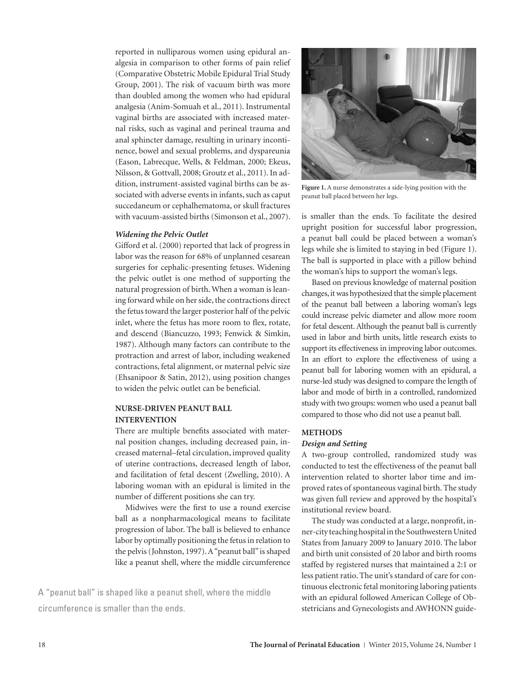reported in nulliparous women using epidural analgesia in comparison to other forms of pain relief (Comparative Obstetric Mobile Epidural Trial Study Group, 2001). The risk of vacuum birth was more than doubled among the women who had epidural analgesia (Anim-Somuah et al., 2011). Instrumental vaginal births are associated with increased maternal risks, such as vaginal and perineal trauma and anal sphincter damage, resulting in urinary incontinence, bowel and sexual problems, and dyspareunia (Eason, Labrecque, Wells, & Feldman, 2000; Ekeus, Nilsson, & Gottvall, 2008; Groutz et al., 2011). In addition, instrument-assisted vaginal births can be associated with adverse events in infants, such as caput succedaneum or cephalhematoma, or skull fractures with vacuum-assisted births (Simonson et al., 2007).

## *Widening the Pelvic Outlet*

Gifford et al. (2000) reported that lack of progress in labor was the reason for 68% of unplanned cesarean surgeries for cephalic-presenting fetuses. Widening the pelvic outlet is one method of supporting the natural progression of birth. When a woman is leaning forward while on her side, the contractions direct the fetus toward the larger posterior half of the pelvic inlet, where the fetus has more room to flex, rotate, and descend (Biancuzzo, 1993; Fenwick & Simkin, 1987). Although many factors can contribute to the protraction and arrest of labor, including weakened contractions, fetal alignment, or maternal pelvic size (Ehsanipoor & Satin, 2012), using position changes to widen the pelvic outlet can be beneficial.

# **NURSE-DRIVEN PEANUT BALL INTERVENTION**

There are multiple benefits associated with maternal position changes, including decreased pain, increased maternal–fetal circulation, improved quality of uterine contractions, decreased length of labor, and facilitation of fetal descent (Zwelling, 2010). A laboring woman with an epidural is limited in the number of different positions she can try.

Midwives were the first to use a round exercise ball as a nonpharmacological means to facilitate progression of labor. The ball is believed to enhance labor by optimally positioning the fetus in relation to the pelvis (Johnston, 1997). A "peanut ball" is shaped like a peanut shell, where the middle circumference

A "peanut ball" is shaped like a peanut shell, where the middle circumference is smaller than the ends.



**Figure 1.** A nurse demonstrates a side-lying position with the peanut ball placed between her legs.

is smaller than the ends. To facilitate the desired upright position for successful labor progression, a peanut ball could be placed between a woman's legs while she is limited to staying in bed (Figure 1). The ball is supported in place with a pillow behind the woman's hips to support the woman's legs.

Based on previous knowledge of maternal position changes, it was hypothesized that the simple placement of the peanut ball between a laboring woman's legs could increase pelvic diameter and allow more room for fetal descent. Although the peanut ball is currently used in labor and birth units, little research exists to support its effectiveness in improving labor outcomes. In an effort to explore the effectiveness of using a peanut ball for laboring women with an epidural, a nurse-led study was designed to compare the length of labor and mode of birth in a controlled, randomized study with two groups: women who used a peanut ball compared to those who did not use a peanut ball.

# **METHODS**

## *Design and Setting*

A two-group controlled, randomized study was conducted to test the effectiveness of the peanut ball intervention related to shorter labor time and improved rates of spontaneous vaginal birth. The study was given full review and approved by the hospital's institutional review board.

The study was conducted at a large, nonprofit, inner-city teaching hospital in the Southwestern United States from January 2009 to January 2010. The labor and birth unit consisted of 20 labor and birth rooms staffed by registered nurses that maintained a 2:1 or less patient ratio. The unit's standard of care for continuous electronic fetal monitoring laboring patients with an epidural followed American College of Obstetricians and Gynecologists and AWHONN guide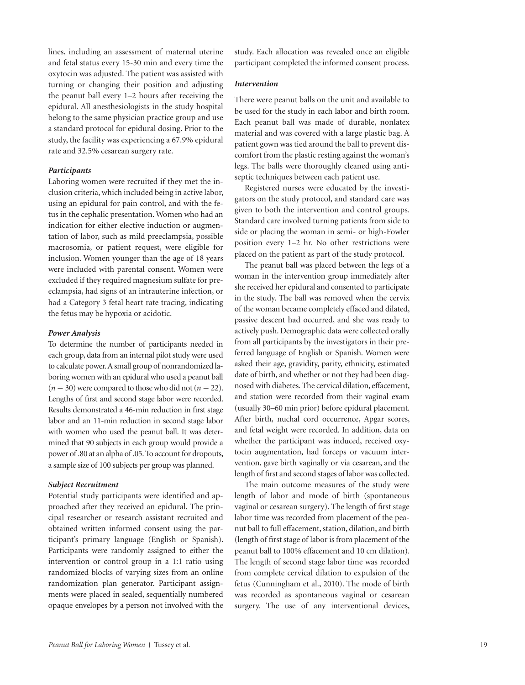lines, including an assessment of maternal uterine and fetal status every 15-30 min and every time the oxytocin was adjusted. The patient was assisted with turning or changing their position and adjusting the peanut ball every 1–2 hours after receiving the epidural. All anesthesiologists in the study hospital belong to the same physician practice group and use a standard protocol for epidural dosing. Prior to the study, the facility was experiencing a 67.9% epidural rate and 32.5% cesarean surgery rate.

# *Participants*

Laboring women were recruited if they met the inclusion criteria, which included being in active labor, using an epidural for pain control, and with the fetus in the cephalic presentation. Women who had an indication for either elective induction or augmentation of labor, such as mild preeclampsia, possible macrosomia, or patient request, were eligible for inclusion. Women younger than the age of 18 years were included with parental consent. Women were excluded if they required magnesium sulfate for preeclampsia, had signs of an intrauterine infection, or had a Category 3 fetal heart rate tracing, indicating the fetus may be hypoxia or acidotic.

#### *Power Analysis*

To determine the number of participants needed in each group, data from an internal pilot study were used to calculate power. A small group of nonrandomized laboring women with an epidural who used a peanut ball  $(n = 30)$  were compared to those who did not  $(n = 22)$ . Lengths of first and second stage labor were recorded. Results demonstrated a 46-min reduction in first stage labor and an 11-min reduction in second stage labor with women who used the peanut ball. It was determined that 90 subjects in each group would provide a power of .80 at an alpha of .05. To account for dropouts, a sample size of 100 subjects per group was planned.

# *Subject Recruitment*

Potential study participants were identified and approached after they received an epidural. The principal researcher or research assistant recruited and obtained written informed consent using the participant's primary language (English or Spanish). Participants were randomly assigned to either the intervention or control group in a 1:1 ratio using randomized blocks of varying sizes from an online randomization plan generator. Participant assignments were placed in sealed, sequentially numbered opaque envelopes by a person not involved with the study. Each allocation was revealed once an eligible participant completed the informed consent process.

#### *Intervention*

There were peanut balls on the unit and available to be used for the study in each labor and birth room. Each peanut ball was made of durable, nonlatex material and was covered with a large plastic bag. A patient gown was tied around the ball to prevent discomfort from the plastic resting against the woman's legs. The balls were thoroughly cleaned using antiseptic techniques between each patient use.

Registered nurses were educated by the investigators on the study protocol, and standard care was given to both the intervention and control groups. Standard care involved turning patients from side to side or placing the woman in semi- or high-Fowler position every 1–2 hr. No other restrictions were placed on the patient as part of the study protocol.

The peanut ball was placed between the legs of a woman in the intervention group immediately after she received her epidural and consented to participate in the study. The ball was removed when the cervix of the woman became completely effaced and dilated, passive descent had occurred, and she was ready to actively push. Demographic data were collected orally from all participants by the investigators in their preferred language of English or Spanish. Women were asked their age, gravidity, parity, ethnicity, estimated date of birth, and whether or not they had been diagnosed with diabetes. The cervical dilation, effacement, and station were recorded from their vaginal exam (usually 30–60 min prior) before epidural placement. After birth, nuchal cord occurrence, Apgar scores, and fetal weight were recorded. In addition, data on whether the participant was induced, received oxytocin augmentation, had forceps or vacuum intervention, gave birth vaginally or via cesarean, and the length of first and second stages of labor was collected.

The main outcome measures of the study were length of labor and mode of birth (spontaneous vaginal or cesarean surgery). The length of first stage labor time was recorded from placement of the peanut ball to full effacement, station, dilation, and birth (length of first stage of labor is from placement of the peanut ball to 100% effacement and 10 cm dilation). The length of second stage labor time was recorded from complete cervical dilation to expulsion of the fetus (Cunningham et al., 2010). The mode of birth was recorded as spontaneous vaginal or cesarean surgery. The use of any interventional devices,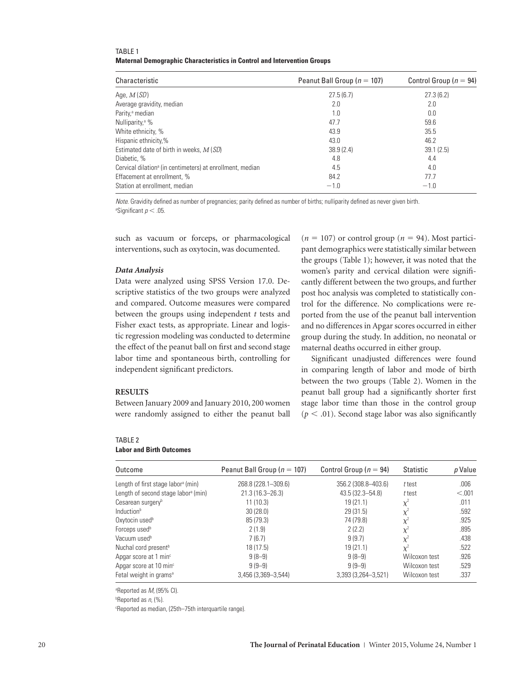| <b>TABLE 1</b>                                                                 |
|--------------------------------------------------------------------------------|
| <b>Maternal Demographic Characteristics in Control and Intervention Groups</b> |

| Characteristic                                                        | Peanut Ball Group ( $n = 107$ ) | Control Group ( $n = 94$ ) |
|-----------------------------------------------------------------------|---------------------------------|----------------------------|
| Age, $M(SD)$                                                          | 27.5(6.7)                       | 27.3(6.2)                  |
| Average gravidity, median                                             | 2.0                             | 2.0                        |
| Parity, <sup>a</sup> median                                           | 1.0                             | 0.0                        |
| Nulliparity, <sup>a</sup> %                                           | 47.7                            | 59.6                       |
| White ethnicity, %                                                    | 43.9                            | 35.5                       |
| Hispanic ethnicity,%                                                  | 43.0                            | 46.2                       |
| Estimated date of birth in weeks, $M(SD)$                             | 38.9(2.4)                       | 39.1(2.5)                  |
| Diabetic. %                                                           | 4.8                             | 4.4                        |
| Cervical dilation <sup>a</sup> (in centimeters) at enrollment, median | 4.5                             | 4.0                        |
| Effacement at enrollment. %                                           | 84.2                            | 77.7                       |
| Station at enrollment, median                                         | $-1.0$                          | $-1.0$                     |

*Note*. Gravidity defined as number of pregnancies; parity defined as number of births; nulliparity defined as never given birth. aSignificant *p* < .05.

such as vacuum or forceps, or pharmacological interventions, such as oxytocin, was documented.

## *Data Analysis*

Data were analyzed using SPSS Version 17.0. Descriptive statistics of the two groups were analyzed and compared. Outcome measures were compared between the groups using independent *t* tests and Fisher exact tests, as appropriate. Linear and logistic regression modeling was conducted to determine the effect of the peanut ball on first and second stage labor time and spontaneous birth, controlling for independent significant predictors.

# **RESULTS**

Between January 2009 and January 2010, 200 women were randomly assigned to either the peanut ball  $(n = 107)$  or control group  $(n = 94)$ . Most participant demographics were statistically similar between the groups (Table 1); however, it was noted that the women's parity and cervical dilation were significantly different between the two groups, and further post hoc analysis was completed to statistically control for the difference. No complications were reported from the use of the peanut ball intervention and no differences in Apgar scores occurred in either group during the study. In addition, no neonatal or maternal deaths occurred in either group.

Significant unadjusted differences were found in comparing length of labor and mode of birth between the two groups (Table 2). Women in the peanut ball group had a significantly shorter first stage labor time than those in the control group  $(p < .01)$ . Second stage labor was also significantly

# TABLE 2

## **Labor and Birth Outcomes**

| Outcome                                         | Peanut Ball Group ( $n = 107$ ) | Control Group ( $n = 94$ ) | <b>Statistic</b> | p Value |
|-------------------------------------------------|---------------------------------|----------------------------|------------------|---------|
| Length of first stage labor <sup>a</sup> (min)  | 268.8 (228.1-309.6)             | 356.2 (308.8-403.6)        | ttest            | .006    |
| Length of second stage labor <sup>a</sup> (min) | $21.3(16.3 - 26.3)$             | $43.5(32.3 - 54.8)$        | ttest            | < 0.001 |
| Cesarean surgery <sup>b</sup>                   | 11(10.3)                        | 19(21.1)                   | $\chi^2$         | .011    |
| Induction <sup>b</sup>                          | 30(28.0)                        | 29(31.5)                   | $\chi^2$         | .592    |
| Oxytocin used <sup>b</sup>                      | 85 (79.3)                       | 74 (79.8)                  | $\chi^2$         | .925    |
| Forceps used <sup>b</sup>                       | 2(1.9)                          | 2(2.2)                     | $\chi^2$         | .895    |
| Vacuum used <sup>b</sup>                        | 7(6.7)                          | 9(9.7)                     | $\chi^2$         | .438    |
| Nuchal cord present <sup>b</sup>                | 18(17.5)                        | 19(21.1)                   | $x^2$            | .522    |
| Apgar score at 1 min <sup>c</sup>               | $9(8-9)$                        | $9(8-9)$                   | Wilcoxon test    | .926    |
| Apgar score at 10 min <sup>c</sup>              | $9(9-9)$                        | $9(9-9)$                   | Wilcoxon test    | .529    |
| Fetal weight in grams <sup>a</sup>              | 3,456 (3,369-3,544)             | 3,393 (3,264-3,521)        | Wilcoxon test    | .337    |

a Reported as *M*, (95% CI).

b Reported as *n*, (%).

c Reported as median, (25th–75th interquartile range).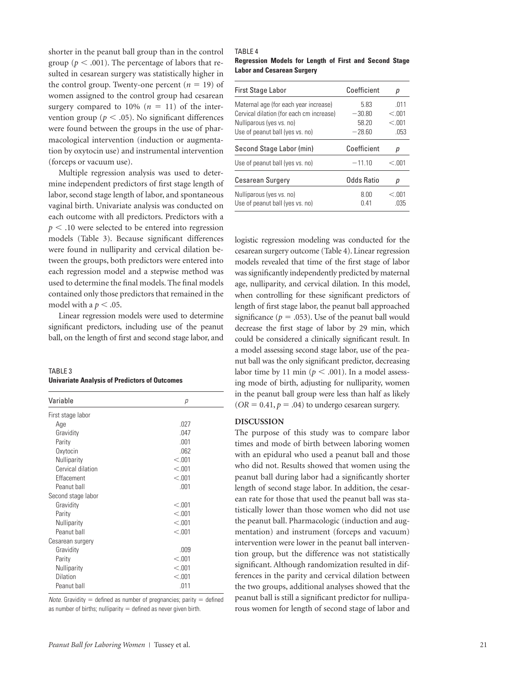shorter in the peanut ball group than in the control group ( $p < .001$ ). The percentage of labors that resulted in cesarean surgery was statistically higher in the control group. Twenty-one percent  $(n = 19)$  of women assigned to the control group had cesarean surgery compared to 10% ( $n = 11$ ) of the intervention group ( $p < .05$ ). No significant differences were found between the groups in the use of pharmacological intervention (induction or augmentation by oxytocin use) and instrumental intervention (forceps or vacuum use).

Multiple regression analysis was used to determine independent predictors of first stage length of labor, second stage length of labor, and spontaneous vaginal birth. Univariate analysis was conducted on each outcome with all predictors. Predictors with a  $p < .10$  were selected to be entered into regression models (Table 3). Because significant differences were found in nulliparity and cervical dilation between the groups, both predictors were entered into each regression model and a stepwise method was used to determine the final models. The final models contained only those predictors that remained in the model with a  $p < .05$ .

Linear regression models were used to determine significant predictors, including use of the peanut ball, on the length of first and second stage labor, and

TABLE 3 **Univariate Analysis of Predictors of Outcomes**

| Variable           | р       |
|--------------------|---------|
| First stage labor  |         |
| Age                | .027    |
| Gravidity          | 047     |
| Parity             | .001    |
| Oxytocin           | .062    |
| Nulliparity        | < 0.001 |
| Cervical dilation  | < 0.01  |
| Effacement         | < 0.01  |
| Peanut ball        | .001    |
| Second stage labor |         |
| Gravidity          | < 0.01  |
| Parity             | < 0.01  |
| Nulliparity        | < 0.01  |
| Peanut ball        | < 0.01  |
| Cesarean surgery   |         |
| Gravidity          | .009    |
| Parity             | < 0.01  |
| Nulliparity        | < 0.01  |
| Dilation           | < 0.001 |
| Peanut ball        | .011    |

*Note.* Gravidity  $=$  defined as number of pregnancies; parity  $=$  defined as number of births; nulliparity  $=$  defined as never given birth.

#### TARIF<sub>4</sub>

**Regression Models for Length of First and Second Stage Labor and Cesarean Surgery**

| <b>First Stage Labor</b>                                                                                                                         | Coefficient                           | р                                |
|--------------------------------------------------------------------------------------------------------------------------------------------------|---------------------------------------|----------------------------------|
| Maternal age (for each year increase)<br>Cervical dilation (for each cm increase)<br>Nulliparous (yes vs. no)<br>Use of peanut ball (yes vs. no) | 5.83<br>$-30.80$<br>58.20<br>$-28.60$ | .011<br>< 0.01<br>< 0.01<br>.053 |
| Second Stage Labor (min)                                                                                                                         | Coefficient                           | р                                |
| Use of peanut ball (yes vs. no)                                                                                                                  | $-11.10$                              | < 0.001                          |
| Cesarean Surgery                                                                                                                                 | Odds Ratio                            | р                                |
| Nulliparous (yes vs. no)<br>Use of peanut ball (yes vs. no)                                                                                      | 8.00<br>041                           | < 0.01<br>.035                   |

logistic regression modeling was conducted for the cesarean surgery outcome (Table 4). Linear regression models revealed that time of the first stage of labor was significantly independently predicted by maternal age, nulliparity, and cervical dilation. In this model, when controlling for these significant predictors of length of first stage labor, the peanut ball approached significance ( $p = .053$ ). Use of the peanut ball would decrease the first stage of labor by 29 min, which could be considered a clinically significant result. In a model assessing second stage labor, use of the peanut ball was the only significant predictor, decreasing labor time by 11 min ( $p < .001$ ). In a model assessing mode of birth, adjusting for nulliparity, women in the peanut ball group were less than half as likely  $(OR = 0.41, p = .04)$  to undergo cesarean surgery.

# **DISCUSSION**

The purpose of this study was to compare labor times and mode of birth between laboring women with an epidural who used a peanut ball and those who did not. Results showed that women using the peanut ball during labor had a significantly shorter length of second stage labor. In addition, the cesarean rate for those that used the peanut ball was statistically lower than those women who did not use the peanut ball. Pharmacologic (induction and augmentation) and instrument (forceps and vacuum) intervention were lower in the peanut ball intervention group, but the difference was not statistically significant. Although randomization resulted in differences in the parity and cervical dilation between the two groups, additional analyses showed that the peanut ball is still a significant predictor for nulliparous women for length of second stage of labor and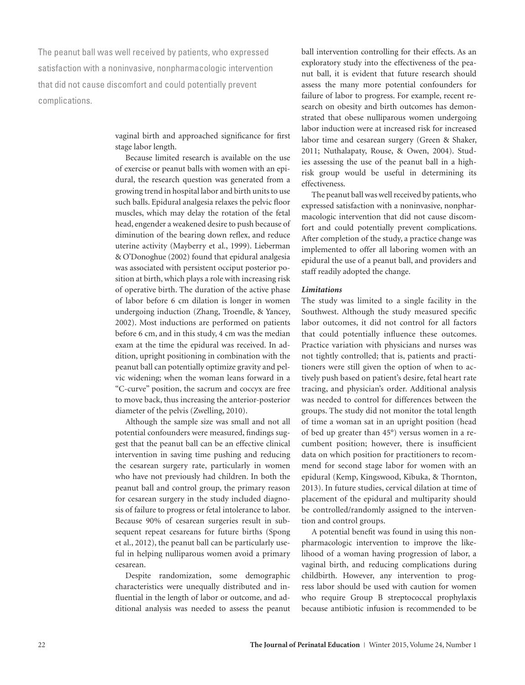The peanut ball was well received by patients, who expressed satisfaction with a noninvasive, nonpharmacologic intervention that did not cause discomfort and could potentially prevent complications.

> vaginal birth and approached significance for first stage labor length.

> Because limited research is available on the use of exercise or peanut balls with women with an epidural, the research question was generated from a growing trend in hospital labor and birth units to use such balls. Epidural analgesia relaxes the pelvic floor muscles, which may delay the rotation of the fetal head, engender a weakened desire to push because of diminution of the bearing down reflex, and reduce uterine activity (Mayberry et al., 1999). Lieberman & O'Donoghue (2002) found that epidural analgesia was associated with persistent occiput posterior position at birth, which plays a role with increasing risk of operative birth. The duration of the active phase of labor before 6 cm dilation is longer in women undergoing induction (Zhang, Troendle, & Yancey, 2002). Most inductions are performed on patients before 6 cm, and in this study, 4 cm was the median exam at the time the epidural was received. In addition, upright positioning in combination with the peanut ball can potentially optimize gravity and pelvic widening; when the woman leans forward in a "C-curve" position, the sacrum and coccyx are free to move back, thus increasing the anterior-posterior diameter of the pelvis (Zwelling, 2010).

> Although the sample size was small and not all potential confounders were measured, findings suggest that the peanut ball can be an effective clinical intervention in saving time pushing and reducing the cesarean surgery rate, particularly in women who have not previously had children. In both the peanut ball and control group, the primary reason for cesarean surgery in the study included diagnosis of failure to progress or fetal intolerance to labor. Because 90% of cesarean surgeries result in subsequent repeat cesareans for future births (Spong et al., 2012), the peanut ball can be particularly useful in helping nulliparous women avoid a primary cesarean.

> Despite randomization, some demographic characteristics were unequally distributed and influential in the length of labor or outcome, and additional analysis was needed to assess the peanut

ball intervention controlling for their effects. As an exploratory study into the effectiveness of the peanut ball, it is evident that future research should assess the many more potential confounders for failure of labor to progress. For example, recent research on obesity and birth outcomes has demonstrated that obese nulliparous women undergoing labor induction were at increased risk for increased labor time and cesarean surgery (Green & Shaker, 2011; Nuthalapaty, Rouse, & Owen, 2004). Studies assessing the use of the peanut ball in a highrisk group would be useful in determining its effectiveness.

The peanut ball was well received by patients, who expressed satisfaction with a noninvasive, nonpharmacologic intervention that did not cause discomfort and could potentially prevent complications. After completion of the study, a practice change was implemented to offer all laboring women with an epidural the use of a peanut ball, and providers and staff readily adopted the change.

## *Limitations*

The study was limited to a single facility in the Southwest. Although the study measured specific labor outcomes, it did not control for all factors that could potentially influence these outcomes. Practice variation with physicians and nurses was not tightly controlled; that is, patients and practitioners were still given the option of when to actively push based on patient's desire, fetal heart rate tracing, and physician's order. Additional analysis was needed to control for differences between the groups. The study did not monitor the total length of time a woman sat in an upright position (head of bed up greater than 45°) versus women in a recumbent position; however, there is insufficient data on which position for practitioners to recommend for second stage labor for women with an epidural (Kemp, Kingswood, Kibuka, & Thornton, 2013). In future studies, cervical dilation at time of placement of the epidural and multiparity should be controlled/randomly assigned to the intervention and control groups.

A potential benefit was found in using this nonpharmacologic intervention to improve the likelihood of a woman having progression of labor, a vaginal birth, and reducing complications during childbirth. However, any intervention to progress labor should be used with caution for women who require Group B streptococcal prophylaxis because antibiotic infusion is recommended to be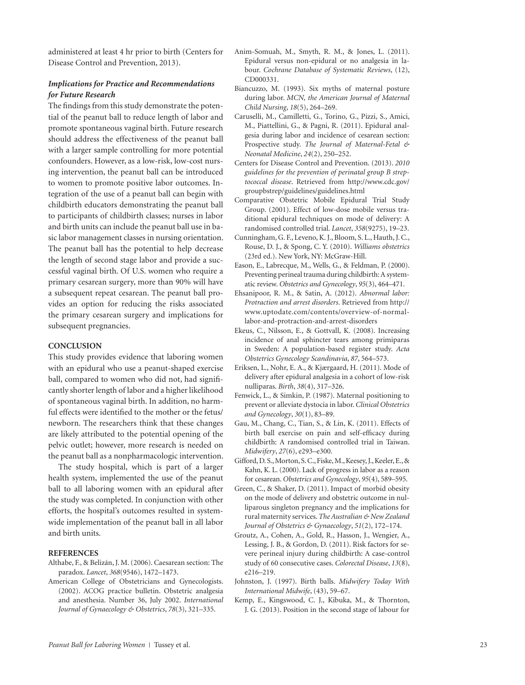administered at least 4 hr prior to birth (Centers for Disease Control and Prevention, 2013).

# *Implications for Practice and Recommendations for Future Research*

The findings from this study demonstrate the potential of the peanut ball to reduce length of labor and promote spontaneous vaginal birth. Future research should address the effectiveness of the peanut ball with a larger sample controlling for more potential confounders. However, as a low-risk, low-cost nursing intervention, the peanut ball can be introduced to women to promote positive labor outcomes. Integration of the use of a peanut ball can begin with childbirth educators demonstrating the peanut ball to participants of childbirth classes; nurses in labor and birth units can include the peanut ball use in basic labor management classes in nursing orientation. The peanut ball has the potential to help decrease the length of second stage labor and provide a successful vaginal birth. Of U.S. women who require a primary cesarean surgery, more than 90% will have a subsequent repeat cesarean. The peanut ball provides an option for reducing the risks associated the primary cesarean surgery and implications for subsequent pregnancies.

# **CONCLUSION**

This study provides evidence that laboring women with an epidural who use a peanut-shaped exercise ball, compared to women who did not, had significantly shorter length of labor and a higher likelihood of spontaneous vaginal birth. In addition, no harmful effects were identified to the mother or the fetus/ newborn. The researchers think that these changes are likely attributed to the potential opening of the pelvic outlet; however, more research is needed on the peanut ball as a nonpharmacologic intervention.

The study hospital, which is part of a larger health system, implemented the use of the peanut ball to all laboring women with an epidural after the study was completed. In conjunction with other efforts, the hospital's outcomes resulted in systemwide implementation of the peanut ball in all labor and birth units.

# **REFERENCES**

- Althabe, F., & Belizán, J. M. (2006). Caesarean section: The paradox. *Lancet*, *368*(9546), 1472–1473.
- American College of Obstetricians and Gynecologists. (2002). ACOG practice bulletin. Obstetric analgesia and anesthesia. Number 36, July 2002. *International Journal of Gynaecology & Obstetrics*, *78*(3), 321–335.
- Anim-Somuah, M., Smyth, R. M., & Jones, L. (2011). Epidural versus non-epidural or no analgesia in labour. *Cochrane Database of Systematic Reviews*, (12), CD000331.
- Biancuzzo, M. (1993). Six myths of maternal posture during labor. *MCN, the American Journal of Maternal Child Nursing*, *18*(5), 264–269.
- Caruselli, M., Camilletti, G., Torino, G., Pizzi, S., Amici, M., Piattellini, G., & Pagni, R. (2011). Epidural analgesia during labor and incidence of cesarean section: Prospective study. *The Journal of Maternal-Fetal & Neonatal Medicine*, *24*(2), 250–252.
- Centers for Disease Control and Prevention. (2013). *2010 guidelines for the prevention of perinatal group B streptococcal disease*. Retrieved from [http://www.cdc.gov/](http://www.cdc.gov/groupbstrep/guidelines/guidelines.html) [groupbstrep/guidelines/guidelines.html](http://www.cdc.gov/groupbstrep/guidelines/guidelines.html)
- Comparative Obstetric Mobile Epidural Trial Study Group. (2001). Effect of low-dose mobile versus traditional epidural techniques on mode of delivery: A randomised controlled trial. *Lancet*, *358*(9275), 19–23.
- Cunningham, G. F., Leveno, K. J., Bloom, S. L., Hauth, J. C., Rouse, D. J., & Spong, C. Y. (2010). *Williams obstetrics* (23rd ed.). New York, NY: McGraw-Hill.
- Eason, E., Labrecque, M., Wells, G., & Feldman, P. (2000). Preventing perineal trauma during childbirth: A systematic review. *Obstetrics and Gynecology*, *95*(3), 464–471.
- Ehsanipoor, R. M., & Satin, A. (2012). *Abnormal labor: Protraction and arrest disorders*. Retrieved from [http://](http://www.uptodate.com/contents/overview-of-normallabor-and-protraction-and-arrest-disorders) [www.uptodate.com/contents/overview-of-normal](http://www.uptodate.com/contents/overview-of-normallabor-and-protraction-and-arrest-disorders)[labor-and-protraction-and-arrest-disorders](http://www.uptodate.com/contents/overview-of-normallabor-and-protraction-and-arrest-disorders)
- Ekeus, C., Nilsson, E., & Gottvall, K. (2008). Increasing incidence of anal sphincter tears among primiparas in Sweden: A population-based register study. *Acta Obstetrics Gynecology Scandinavia*, *87*, 564–573.
- Eriksen, L., Nohr, E. A., & Kjærgaard, H. (2011). Mode of delivery after epidural analgesia in a cohort of low-risk nulliparas. *Birth*, *38*(4), 317–326.
- Fenwick, L., & Simkin, P. (1987). Maternal positioning to prevent or alleviate dystocia in labor. *Clinical Obstetrics and Gynecology*, *30*(1), 83–89.
- Gau, M., Chang, C., Tian, S., & Lin, K. (2011). Effects of birth ball exercise on pain and self-efficacy during childbirth: A randomised controlled trial in Taiwan. *Midwifery*, *27*(6), e293–e300.
- Gifford, D. S., Morton, S. C., Fiske, M., Keesey, J., Keeler, E., & Kahn, K. L. (2000). Lack of progress in labor as a reason for cesarean. *Obstetrics and Gynecology*, *95*(4), 589–595.
- Green, C., & Shaker, D. (2011). Impact of morbid obesity on the mode of delivery and obstetric outcome in nulliparous singleton pregnancy and the implications for rural maternity services. *The Australian & New Zealand Journal of Obstetrics & Gynaecology*, *51*(2), 172–174.
- Groutz, A., Cohen, A., Gold, R., Hasson, J., Wengier, A., Lessing, J. B., & Gordon, D. (2011). Risk factors for severe perineal injury during childbirth: A case-control study of 60 consecutive cases. *Colorectal Disease*, *13*(8), e216–219.
- Johnston, J. (1997). Birth balls. *Midwifery Today With International Midwife*, (43), 59–67.
- Kemp, E., Kingswood, C. J., Kibuka, M., & Thornton, J. G. (2013). Position in the second stage of labour for